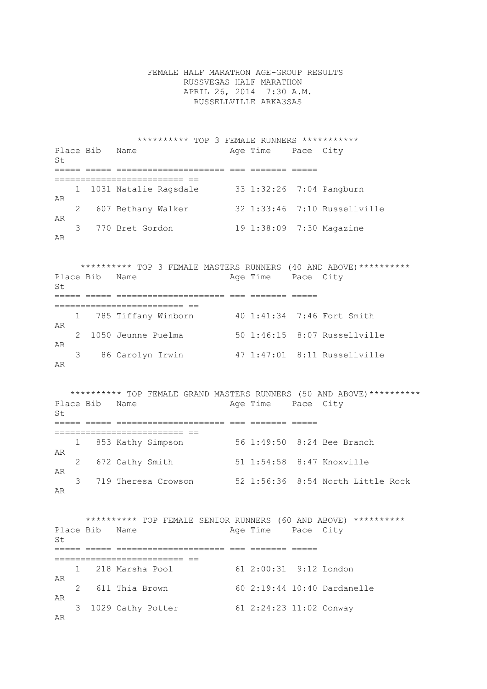FEMALE HALF MARATHON AGE-GROUP RESULTS RUSSVEGAS HALF MARATHON APRIL 26, 2014 7:30 A.M. RUSSELLVILLE ARKA3SAS

 \*\*\*\*\*\*\*\*\*\* TOP 3 FEMALE RUNNERS \*\*\*\*\*\*\*\*\*\*\* Place Bib Name **Age Time** Pace City  $S<sub>+</sub>$ ===== ===== ===================== === ======= ===== ========================= == 1 1031 Natalie Ragsdale 33 1:32:26 7:04 Pangburn AR 2 607 Bethany Walker 32 1:33:46 7:10 Russellville AR<br>3 770 Bret Gordon 19 1:38:09 7:30 Magazine AR

 \*\*\*\*\*\*\*\*\*\* TOP 3 FEMALE MASTERS RUNNERS (40 AND ABOVE)\*\*\*\*\*\*\*\*\*\* Place Bib Name  $\qquad$  Age Time Pace City St ===== ===== ===================== === ======= ===== ========================= == 1 785 Tiffany Winborn 40 1:41:34 7:46 Fort Smith AR 2 1050 Jeunne Puelma 50 1:46:15 8:07 Russellville AR 3 86 Carolyn Irwin 47 1:47:01 8:11 Russellville AR

\*\*\*\*\*\*\*\*\*\* TOP FEMALE GRAND MASTERS RUNNERS (50 AND ABOVE)\*\*\*\*\*\*\*\*\*\*\*<br>Place Bib Name age Time Pace City Age Time Pace City  $St$ ===== ===== ===================== === ======= ===== ========================= == 1 853 Kathy Simpson 56 1:49:50 8:24 Bee Branch AR 2 672 Cathy Smith 51 1:54:58 8:47 Knoxville AR 3 719 Theresa Crowson 52 1:56:36 8:54 North Little Rock AR

 \*\*\*\*\*\*\*\*\*\* TOP FEMALE SENIOR RUNNERS (60 AND ABOVE) \*\*\*\*\*\*\*\*\*\* Place Bib Name Age Time Pace City  $St$ ===== ===== ===================== === ======= ===== ========================= == 1 218 Marsha Pool 61 2:00:31 9:12 London AR 2 611 Thia Brown 60 2:19:44 10:40 Dardanelle AR 3 1029 Cathy Potter 61 2:24:23 11:02 Conway AR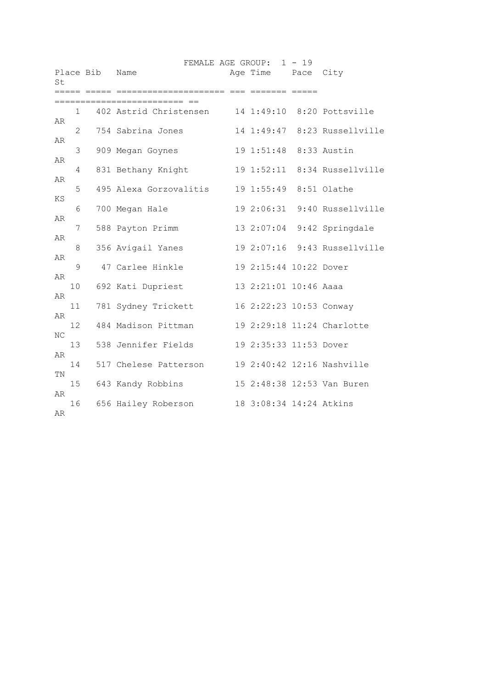|    |                |           |                                                   | FEMALE AGE GROUP: 1 - 19 |                              |
|----|----------------|-----------|---------------------------------------------------|--------------------------|------------------------------|
| St |                | Place Bib | Name                                              | Age Time Pace City       |                              |
|    |                |           |                                                   |                          |                              |
|    |                |           |                                                   |                          |                              |
|    | $\mathbf{1}$   |           | 402 Astrid Christensen 14 1:49:10 8:20 Pottsville |                          |                              |
| AR |                |           |                                                   |                          |                              |
|    | $\overline{2}$ |           | 754 Sabrina Jones 14 1:49:47 8:23 Russellville    |                          |                              |
| AR | 3              |           |                                                   |                          |                              |
| AR |                |           | 909 Megan Goynes                                  | 19 1:51:48 8:33 Austin   |                              |
|    | 4              |           | 831 Bethany Knight                                |                          | 19 1:52:11 8:34 Russellville |
| AR |                |           |                                                   |                          |                              |
|    | 5              |           | 495 Alexa Gorzovalitis 19 1:55:49 8:51 Olathe     |                          |                              |
| ΚS |                |           |                                                   |                          |                              |
|    | 6              |           | 700 Megan Hale                                    |                          | 19 2:06:31 9:40 Russellville |
| AR |                |           |                                                   |                          |                              |
|    | 7              |           | 588 Payton Primm                                  |                          | 13 2:07:04 9:42 Springdale   |
| AR |                |           |                                                   |                          |                              |
|    | 8              |           | 356 Avigail Yanes                                 |                          | 19 2:07:16 9:43 Russellville |
| AR |                |           |                                                   |                          |                              |
|    | 9              |           | 47 Carlee Hinkle                                  | 19 2:15:44 10:22 Dover   |                              |
| AR |                |           |                                                   |                          |                              |
|    | 10             |           | 692 Kati Dupriest                                 | 13 2:21:01 10:46 Aaaa    |                              |
| AR |                |           |                                                   |                          |                              |
|    | 11             |           | 781 Sydney Trickett                               | 16 2:22:23 10:53 Conway  |                              |
| AR |                |           |                                                   |                          |                              |
|    | 12             |           | 484 Madison Pittman                               |                          | 19 2:29:18 11:24 Charlotte   |
| ΝC | 13             |           | 538 Jennifer Fields 19 2:35:33 11:53 Dover        |                          |                              |
| AR |                |           |                                                   |                          |                              |
|    | 14             |           | 517 Chelese Patterson 19 2:40:42 12:16 Nashville  |                          |                              |
| ΤN |                |           |                                                   |                          |                              |
|    | 15             |           | 643 Kandy Robbins                                 |                          | 15 2:48:38 12:53 Van Buren   |
| AR |                |           |                                                   |                          |                              |
|    | 16             |           | 656 Hailey Roberson 18 3:08:34 14:24 Atkins       |                          |                              |
| AR |                |           |                                                   |                          |                              |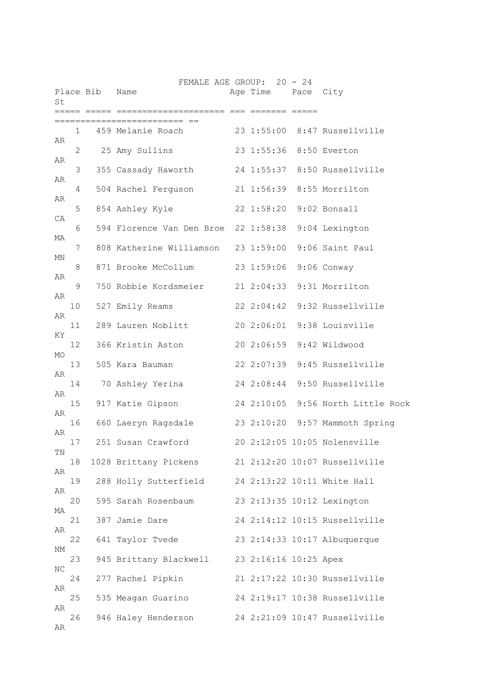|          |              | Place Bib Name | FEMALE AGE GROUP: 20 - 24                           | Age Time Pace City      |                                   |
|----------|--------------|----------------|-----------------------------------------------------|-------------------------|-----------------------------------|
| St       |              |                | ;==========  ===  =======   =====                   |                         |                                   |
|          | $\mathbf{1}$ |                | 459 Melanie Roach 23 1:55:00 8:47 Russellville      |                         |                                   |
| AR       | 2            |                | 25 Amy Sullins                                      |                         | 23 1:55:36 8:50 Everton           |
| AR       | 3            |                | 355 Cassady Haworth                                 |                         | 24 1:55:37 8:50 Russellville      |
| AR       | 4            |                | 504 Rachel Ferguson 21 1:56:39 8:55 Morrilton       |                         |                                   |
| AR       | 5            |                | 854 Ashley Kyle                                     | 22 1:58:20 9:02 Bonsall |                                   |
| CA       | 6            |                | 594 Florence Van Den Broe 22 1:58:38 9:04 Lexington |                         |                                   |
| МA       | 7            |                | 808 Katherine Williamson 23 1:59:00                 |                         | 9:06 Saint Paul                   |
| ΜN       | 8            |                | 871 Brooke McCollum                                 | 23 1:59:06              | 9:06 Conway                       |
| AR       | 9            |                | 750 Robbie Kordsmeier                               |                         | 21 2:04:33 9:31 Morrilton         |
| AR       | 10           |                | 527 Emily Reams                                     |                         | 22 2:04:42 9:32 Russellville      |
| AR       | 11           |                | 289 Lauren Noblitt                                  |                         | 20 2:06:01 9:38 Louisville        |
| ΚY       | 12           |                | 366 Kristin Aston                                   |                         | 20 2:06:59 9:42 Wildwood          |
| MO.      | 13           |                | 505 Kara Bauman                                     |                         | 22 2:07:39 9:45 Russellville      |
| AR       | 14           |                | 70 Ashley Yerina                                    |                         | 24 2:08:44 9:50 Russellville      |
| AR       | 15           |                | 917 Katie Gipson                                    |                         | 24 2:10:05 9:56 North Little Rock |
| AR       | 16           |                | 660 Laeryn Ragsdale                                 |                         | 23 2:10:20 9:57 Mammoth Spring    |
| AR       | 17           |                | 251 Susan Crawford                                  |                         | 20 2:12:05 10:05 Nolensville      |
| ΤN       | 18           |                | 1028 Brittany Pickens                               |                         | 21 2:12:20 10:07 Russellville     |
| AR       | 19           |                | 288 Holly Sutterfield                               |                         | 24 2:13:22 10:11 White Hall       |
| AR       | 20           |                | 595 Sarah Rosenbaum                                 |                         | 23 2:13:35 10:12 Lexington        |
| MA       | 21           |                | 387 Jamie Dare                                      |                         | 24 2:14:12 10:15 Russellville     |
| AR       | 22           |                | 641 Taylor Tvede                                    |                         | 23 2:14:33 10:17 Albuquerque      |
| NΜ       | 23           |                | 945 Brittany Blackwell                              | 23 2:16:16 10:25 Apex   |                                   |
| ΝC       | 24           |                | 277 Rachel Pipkin                                   |                         | 21 2:17:22 10:30 Russellville     |
| AR<br>AR | 25           |                | 535 Meagan Guarino                                  |                         | 24 2:19:17 10:38 Russellville     |
| AR       | 26           |                | 946 Haley Henderson                                 |                         | 24 2:21:09 10:47 Russellville     |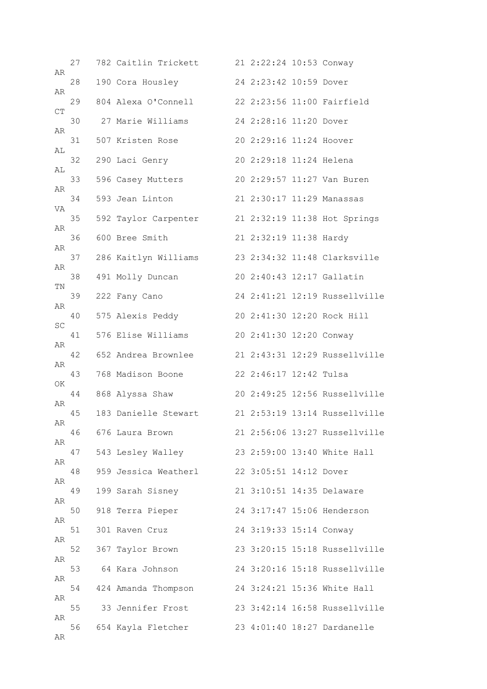| AR | 27 | 782 Caitlin Trickett | 21 2:22:24 10:53 Conway |                               |
|----|----|----------------------|-------------------------|-------------------------------|
|    | 28 | 190 Cora Housley     | 24 2:23:42 10:59 Dover  |                               |
| AR | 29 | 804 Alexa O'Connell  |                         | 22 2:23:56 11:00 Fairfield    |
| CT | 30 | 27 Marie Williams    | 24 2:28:16 11:20 Dover  |                               |
| AR | 31 | 507 Kristen Rose     | 20 2:29:16 11:24 Hoover |                               |
| AL | 32 | 290 Laci Genry       | 20 2:29:18 11:24 Helena |                               |
| AL | 33 | 596 Casey Mutters    |                         | 20 2:29:57 11:27 Van Buren    |
| AR | 34 | 593 Jean Linton      |                         | 21 2:30:17 11:29 Manassas     |
| VA | 35 | 592 Taylor Carpenter |                         | 21 2:32:19 11:38 Hot Springs  |
| AR | 36 | 600 Bree Smith       | 21 2:32:19 11:38 Hardy  |                               |
| AR | 37 | 286 Kaitlyn Williams |                         | 23 2:34:32 11:48 Clarksville  |
| AR | 38 | 491 Molly Duncan     |                         | 20 2:40:43 12:17 Gallatin     |
| ΤN | 39 | 222 Fany Cano        |                         | 24 2:41:21 12:19 Russellville |
| AR | 40 | 575 Alexis Peddy     |                         | 20 2:41:30 12:20 Rock Hill    |
| SC | 41 | 576 Elise Williams   | 20 2:41:30 12:20 Conway |                               |
| AR | 42 | 652 Andrea Brownlee  |                         | 21 2:43:31 12:29 Russellville |
| AR | 43 | 768 Madison Boone    | 22 2:46:17 12:42 Tulsa  |                               |
| ΟK | 44 | 868 Alyssa Shaw      |                         | 20 2:49:25 12:56 Russellville |
| AR | 45 | 183 Danielle Stewart |                         | 21 2:53:19 13:14 Russellville |
| AR | 46 | 676 Laura Brown      |                         | 21 2:56:06 13:27 Russellville |
| AR | 47 | 543 Lesley Walley    |                         | 23 2:59:00 13:40 White Hall   |
| AR | 48 | 959 Jessica Weatherl | 22 3:05:51 14:12 Dover  |                               |
| AR | 49 | 199 Sarah Sisney     |                         | 21 3:10:51 14:35 Delaware     |
| AR | 50 | 918 Terra Pieper     |                         | 24 3:17:47 15:06 Henderson    |
| AR | 51 | 301 Raven Cruz       | 24 3:19:33 15:14 Conway |                               |
| AR | 52 | 367 Taylor Brown     |                         | 23 3:20:15 15:18 Russellville |
| AR | 53 | 64 Kara Johnson      |                         | 24 3:20:16 15:18 Russellville |
| AR | 54 | 424 Amanda Thompson  |                         | 24 3:24:21 15:36 White Hall   |
| AR | 55 | 33 Jennifer Frost    |                         | 23 3:42:14 16:58 Russellville |
| AR | 56 | 654 Kayla Fletcher   |                         | 23 4:01:40 18:27 Dardanelle   |
| AR |    |                      |                         |                               |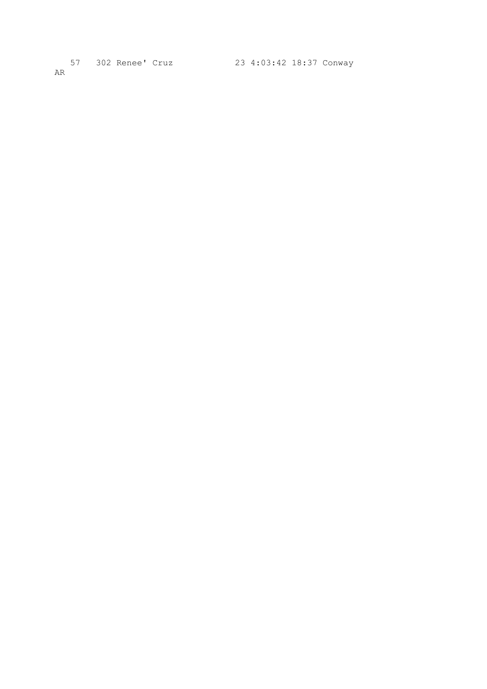57 302 Renee' Cruz 23 4:03:42 18:37 Conway AR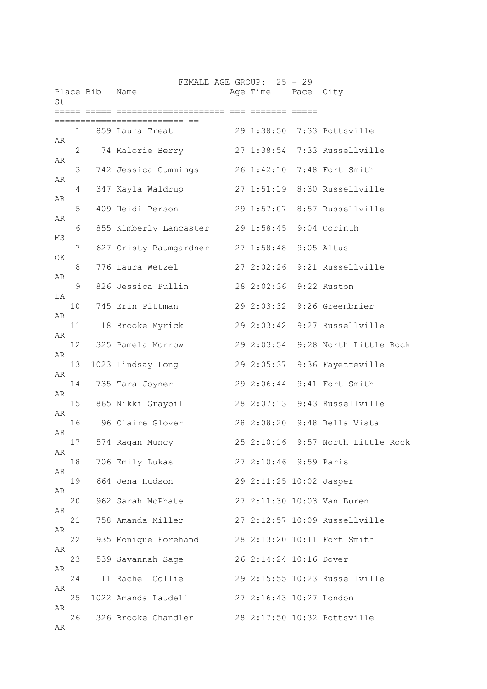| St       |              | Place Bib Name |                                                |             | FEMALE AGE GROUP: 25 - 29<br>Age Time Pace City |                                   |
|----------|--------------|----------------|------------------------------------------------|-------------|-------------------------------------------------|-----------------------------------|
|          |              |                |                                                | ======= === |                                                 |                                   |
|          | $\mathbf{1}$ |                | 859 Laura Treat                                |             |                                                 | 29 1:38:50 7:33 Pottsville        |
| AR       | 2            |                | 74 Malorie Berry                               |             |                                                 | 27 1:38:54 7:33 Russellville      |
| AR       | 3            |                | 742 Jessica Cummings                           |             |                                                 | 26 1:42:10 7:48 Fort Smith        |
| AR       | 4            |                | 347 Kayla Waldrup 27 1:51:19 8:30 Russellville |             |                                                 |                                   |
| AR       | 5            |                | 409 Heidi Person                               |             |                                                 | 29 1:57:07 8:57 Russellville      |
| AR       | 6            |                | 855 Kimberly Lancaster 29 1:58:45 9:04 Corinth |             |                                                 |                                   |
| МS       |              |                |                                                |             |                                                 |                                   |
| OK.      | 7            |                | 627 Cristy Baumgardner 27 1:58:48 9:05 Altus   |             |                                                 |                                   |
| AR       | 8            |                | 776 Laura Wetzel                               |             |                                                 | 27 2:02:26 9:21 Russellville      |
| LA       | 9            |                | 826 Jessica Pullin                             |             | 28 2:02:36 9:22 Ruston                          |                                   |
|          | 10           |                | 745 Erin Pittman                               |             |                                                 | 29 2:03:32 9:26 Greenbrier        |
| AR       | 11           |                | 18 Brooke Myrick                               |             |                                                 | 29 2:03:42 9:27 Russellville      |
| AR       | 12           |                | 325 Pamela Morrow                              |             |                                                 | 29 2:03:54 9:28 North Little Rock |
| AR       | 13           |                | 1023 Lindsay Long                              |             |                                                 | 29 2:05:37 9:36 Fayetteville      |
| AR       | 14           |                | 735 Tara Joyner                                |             |                                                 | 29 2:06:44 9:41 Fort Smith        |
| AR       | 15           |                | 865 Nikki Graybill                             |             |                                                 | 28 2:07:13 9:43 Russellville      |
| AR       | 16           |                | 96 Claire Glover                               |             |                                                 | 28 2:08:20 9:48 Bella Vista       |
| AR       | 17           |                | 574 Ragan Muncy                                |             |                                                 | 25 2:10:16 9:57 North Little Rock |
| AR       | 18           |                | 706 Emily Lukas                                |             | 27 2:10:46 9:59 Paris                           |                                   |
| AR       | 19           |                | 664 Jena Hudson                                |             | 29 2:11:25 10:02 Jasper                         |                                   |
| AR       | 20           |                | 962 Sarah McPhate                              |             |                                                 | 27 2:11:30 10:03 Van Buren        |
| AR       |              |                |                                                |             |                                                 |                                   |
| AR       | 21           |                | 758 Amanda Miller                              |             |                                                 | 27 2:12:57 10:09 Russellville     |
| AR       | 22           |                | 935 Monique Forehand                           |             |                                                 | 28 2:13:20 10:11 Fort Smith       |
| AR       | 23           |                | 539 Savannah Sage                              |             | 26 2:14:24 10:16 Dover                          |                                   |
|          | 24           |                | 11 Rachel Collie                               |             |                                                 | 29 2:15:55 10:23 Russellville     |
| AR       | 25           |                | 1022 Amanda Laudell                            |             | 27 2:16:43 10:27 London                         |                                   |
| AR<br>AR | 26           |                | 326 Brooke Chandler                            |             |                                                 | 28 2:17:50 10:32 Pottsville       |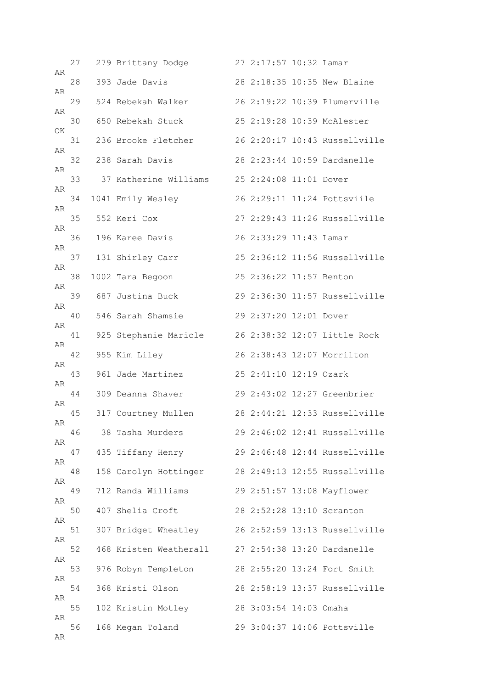| AR | 27 | 279 Brittany Dodge     | 27 2:17:57 10:32 Lamar  |                               |
|----|----|------------------------|-------------------------|-------------------------------|
|    | 28 | 393 Jade Davis         |                         | 28 2:18:35 10:35 New Blaine   |
| AR | 29 | 524 Rebekah Walker     |                         | 26 2:19:22 10:39 Plumerville  |
| AR | 30 | 650 Rebekah Stuck      |                         | 25 2:19:28 10:39 McAlester    |
| ΟK | 31 | 236 Brooke Fletcher    |                         | 26 2:20:17 10:43 Russellville |
| AR | 32 | 238 Sarah Davis        |                         | 28 2:23:44 10:59 Dardanelle   |
| AR | 33 | 37 Katherine Williams  | 25 2:24:08 11:01 Dover  |                               |
| AR | 34 | 1041 Emily Wesley      |                         | 26 2:29:11 11:24 Pottsviile   |
| AR | 35 | 552 Keri Cox           |                         | 27 2:29:43 11:26 Russellville |
| AR | 36 | 196 Karee Davis        | 26 2:33:29 11:43 Lamar  |                               |
| AR | 37 | 131 Shirley Carr       |                         | 25 2:36:12 11:56 Russellville |
| AR | 38 | 1002 Tara Begoon       | 25 2:36:22 11:57 Benton |                               |
| AR | 39 | 687 Justina Buck       |                         | 29 2:36:30 11:57 Russellville |
| AR | 40 | 546 Sarah Shamsie      | 29 2:37:20 12:01 Dover  |                               |
| AR | 41 | 925 Stephanie Maricle  |                         | 26 2:38:32 12:07 Little Rock  |
| AR | 42 | 955 Kim Liley          |                         | 26 2:38:43 12:07 Morrilton    |
| AR | 43 | 961 Jade Martinez      | 25 2:41:10 12:19 Ozark  |                               |
| AR | 44 | 309 Deanna Shaver      |                         | 29 2:43:02 12:27 Greenbrier   |
| AR | 45 | 317 Courtney Mullen    |                         | 28 2:44:21 12:33 Russellville |
| AR | 46 | 38 Tasha Murders       |                         | 29 2:46:02 12:41 Russellville |
| AR | 47 | 435 Tiffany Henry      |                         | 29 2:46:48 12:44 Russellville |
| AR | 48 | 158 Carolyn Hottinger  |                         | 28 2:49:13 12:55 Russellville |
| AR | 49 | 712 Randa Williams     |                         | 29 2:51:57 13:08 Mayflower    |
| AR | 50 | 407 Shelia Croft       |                         | 28 2:52:28 13:10 Scranton     |
| AR | 51 | 307 Bridget Wheatley   |                         | 26 2:52:59 13:13 Russellville |
| AR | 52 | 468 Kristen Weatherall |                         | 27 2:54:38 13:20 Dardanelle   |
| AR | 53 | 976 Robyn Templeton    |                         | 28 2:55:20 13:24 Fort Smith   |
| AR | 54 | 368 Kristi Olson       |                         | 28 2:58:19 13:37 Russellville |
| AR | 55 | 102 Kristin Motley     | 28 3:03:54 14:03 Omaha  |                               |
| AR | 56 | 168 Megan Toland       |                         | 29 3:04:37 14:06 Pottsville   |
| AR |    |                        |                         |                               |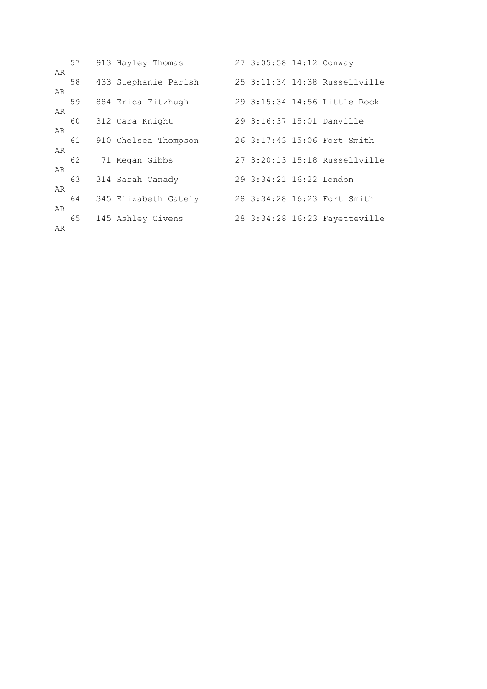|          | 57 | 913 Hayley Thomas    | 27 3:05:58 14:12 Conway |                               |
|----------|----|----------------------|-------------------------|-------------------------------|
| AR       | 58 | 433 Stephanie Parish |                         | 25 3:11:34 14:38 Russellville |
| AR<br>AR | 59 | 884 Erica Fitzhugh   |                         | 29 3:15:34 14:56 Little Rock  |
| AR       | 60 | 312 Cara Knight      |                         | 29 3:16:37 15:01 Danville     |
| AR       | 61 | 910 Chelsea Thompson |                         | 26 3:17:43 15:06 Fort Smith   |
| AR       | 62 | 71 Megan Gibbs       |                         | 27 3:20:13 15:18 Russellville |
| AR       | 63 | 314 Sarah Canady     | 29 3:34:21 16:22 London |                               |
| AR       | 64 | 345 Elizabeth Gately |                         | 28 3:34:28 16:23 Fort Smith   |
| AR       | 65 | 145 Ashley Givens    |                         | 28 3:34:28 16:23 Fayetteville |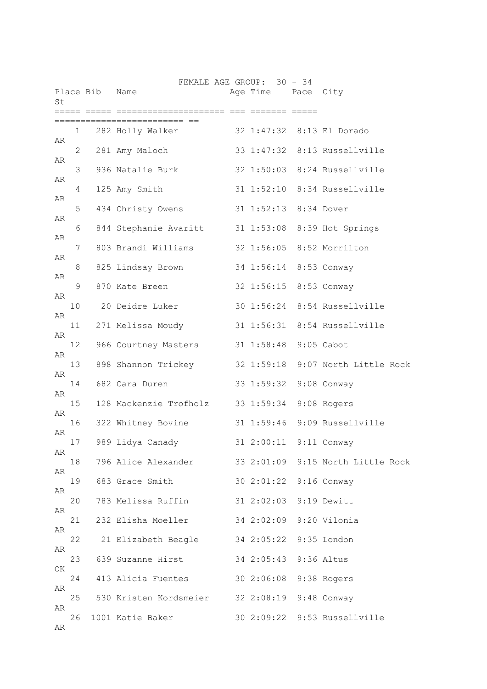| St |                 | Place Bib | Name                                                     | FEMALE AGE GROUP: 30 - 34<br>Age Time Pace City |                              |
|----|-----------------|-----------|----------------------------------------------------------|-------------------------------------------------|------------------------------|
|    |                 |           |                                                          |                                                 |                              |
| AR | $\mathbf{1}$    |           | 282 Holly Walker 32 1:47:32 8:13 El Dorado               |                                                 |                              |
|    | $\mathbf{2}$    |           | 281 Amy Maloch                                           |                                                 | 33 1:47:32 8:13 Russellville |
| AR | 3               |           | 936 Natalie Burk                                         |                                                 | 32 1:50:03 8:24 Russellville |
| AR | 4               |           | 125 Amy Smith                                            |                                                 | 31 1:52:10 8:34 Russellville |
| AR | 5               |           | 434 Christy Owens 31 1:52:13 8:34 Dover                  |                                                 |                              |
| AR | 6               |           | 844 Stephanie Avaritt 31 1:53:08 8:39 Hot Springs        |                                                 |                              |
| AR | 7               |           | 803 Brandi Williams 32 1:56:05 8:52 Morrilton            |                                                 |                              |
| AR | 8               |           | 825 Lindsay Brown 34 1:56:14 8:53 Conway                 |                                                 |                              |
| AR | 9               |           | 870 Kate Breen                                           | 32 1:56:15 8:53 Conway                          |                              |
| AR | 10              |           | 20 Deidre Luker                                          |                                                 | 30 1:56:24 8:54 Russellville |
| AR |                 |           | 11 271 Melissa Moudy 31 1:56:31 8:54 Russellville        |                                                 |                              |
| AR | 12 <sup>°</sup> |           | 966 Courtney Masters 31 1:58:48 9:05 Cabot               |                                                 |                              |
| AR | 13              |           | 898 Shannon Trickey 32 1:59:18 9:07 North Little Rock    |                                                 |                              |
| AR | 14              |           | 682 Cara Duren                                           | 33 1:59:32 9:08 Conway                          |                              |
| AR |                 |           |                                                          |                                                 |                              |
| AR | 15              |           | 128 Mackenzie Trofholz 33 1:59:34 9:08 Rogers            |                                                 |                              |
| AR | 16              |           | 322 Whitney Bovine                                       |                                                 | 31 1:59:46 9:09 Russellville |
| AR | 17              |           | 989 Lidya Canady                                         | 31 2:00:11                                      | 9:11 Conway                  |
| AR |                 |           | 18 796 Alice Alexander 33 2:01:09 9:15 North Little Rock |                                                 |                              |
| AR | 19              |           | 683 Grace Smith                                          | 30 2:01:22 9:16 Conway                          |                              |
| AR | 20              |           | 783 Melissa Ruffin 31 2:02:03 9:19 Dewitt                |                                                 |                              |
| AR | 21              |           | 232 Elisha Moeller 34 2:02:09 9:20 Vilonia               |                                                 |                              |
|    |                 |           | 22 21 Elizabeth Beagle 34 2:05:22 9:35 London            |                                                 |                              |
| AR | 23              |           | 639 Suzanne Hirst 34 2:05:43 9:36 Altus                  |                                                 |                              |
| OK | 24              |           | 413 Alicia Fuentes 30 2:06:08 9:38 Rogers                |                                                 |                              |
| AR | 25              |           | 530 Kristen Kordsmeier 32 2:08:19 9:48 Conway            |                                                 |                              |
| AR | 26              |           | 1001 Katie Baker                                         |                                                 | 30 2:09:22 9:53 Russellville |
| AR |                 |           |                                                          |                                                 |                              |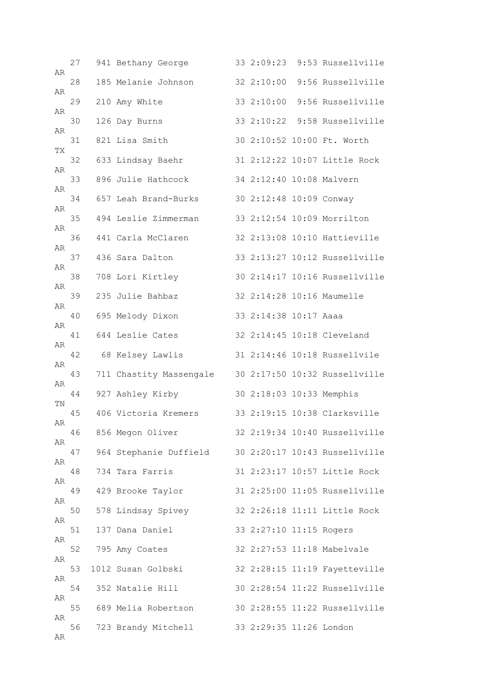| AR | 27 | 941 Bethany George      |                          | 33 2:09:23 9:53 Russellville  |
|----|----|-------------------------|--------------------------|-------------------------------|
|    | 28 | 185 Melanie Johnson     | 32 2:10:00               | 9:56 Russellville             |
| AR | 29 | 210 Amy White           |                          | 33 2:10:00 9:56 Russellville  |
| AR | 30 | 126 Day Burns           |                          | 33 2:10:22 9:58 Russellville  |
| AR | 31 | 821 Lisa Smith          |                          | 30 2:10:52 10:00 Ft. Worth    |
| TХ | 32 | 633 Lindsay Baehr       |                          | 31 2:12:22 10:07 Little Rock  |
| AR | 33 | 896 Julie Hathcock      | 34 2:12:40 10:08 Malvern |                               |
| AR | 34 | 657 Leah Brand-Burks    | 30 2:12:48 10:09 Conway  |                               |
| AR | 35 | 494 Leslie Zimmerman    |                          | 33 2:12:54 10:09 Morrilton    |
| AR | 36 | 441 Carla McClaren      |                          | 32 2:13:08 10:10 Hattieville  |
| AR | 37 | 436 Sara Dalton         |                          | 33 2:13:27 10:12 Russellville |
| AR | 38 | 708 Lori Kirtley        |                          | 30 2:14:17 10:16 Russellville |
| AR | 39 | 235 Julie Bahbaz        |                          | 32 2:14:28 10:16 Maumelle     |
| AR | 40 | 695 Melody Dixon        | 33 2:14:38 10:17 Aaaa    |                               |
| AR | 41 | 644 Leslie Cates        |                          | 32 2:14:45 10:18 Cleveland    |
| AR | 42 | 68 Kelsey Lawlis        |                          | 31 2:14:46 10:18 Russellvile  |
| AR | 43 | 711 Chastity Massengale |                          | 30 2:17:50 10:32 Russellville |
| AR | 44 | 927 Ashley Kirby        | 30 2:18:03 10:33 Memphis |                               |
| ΤN | 45 | 406 Victoria Kremers    |                          | 33 2:19:15 10:38 Clarksville  |
| AR | 46 | 856 Megon Oliver        |                          | 32 2:19:34 10:40 Russellville |
| AR | 47 | 964 Stephanie Duffield  |                          | 30 2:20:17 10:43 Russellville |
| AR | 48 | 734 Tara Farris         |                          | 31 2:23:17 10:57 Little Rock  |
| AR | 49 | 429 Brooke Taylor       |                          | 31 2:25:00 11:05 Russellville |
| AR | 50 | 578 Lindsay Spivey      |                          | 32 2:26:18 11:11 Little Rock  |
| AR | 51 | 137 Dana Daniel         | 33 2:27:10 11:15 Rogers  |                               |
| AR | 52 | 795 Amy Coates          |                          | 32 2:27:53 11:18 Mabelvale    |
| AR | 53 | 1012 Susan Golbski      |                          | 32 2:28:15 11:19 Fayetteville |
| AR | 54 | 352 Natalie Hill        |                          | 30 2:28:54 11:22 Russellville |
| AR | 55 | 689 Melia Robertson     |                          | 30 2:28:55 11:22 Russellville |
| AR | 56 | 723 Brandy Mitchell     | 33 2:29:35 11:26 London  |                               |
| AR |    |                         |                          |                               |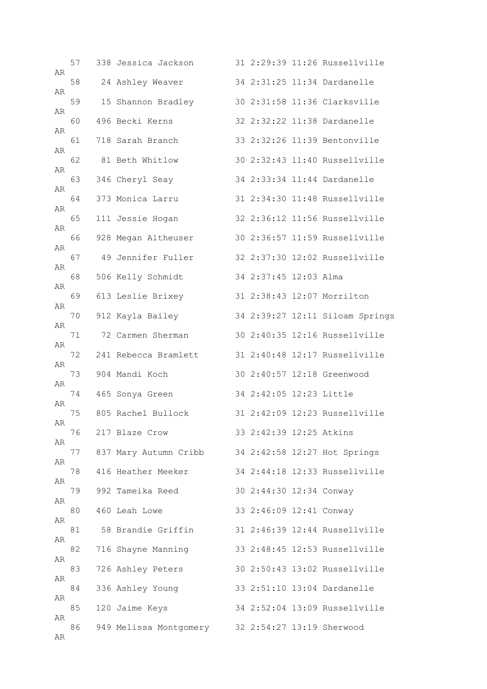| AR | 57 | 338 Jessica Jackson                              |                         | 31 2:29:39 11:26 Russellville   |
|----|----|--------------------------------------------------|-------------------------|---------------------------------|
|    | 58 | 24 Ashley Weaver                                 |                         | 34 2:31:25 11:34 Dardanelle     |
| AR | 59 | 15 Shannon Bradley                               |                         | 30 2:31:58 11:36 Clarksville    |
| AR | 60 | 496 Becki Kerns                                  |                         | 32 2:32:22 11:38 Dardanelle     |
| AR | 61 | 718 Sarah Branch                                 |                         | 33 2:32:26 11:39 Bentonville    |
| AR | 62 | 81 Beth Whitlow                                  |                         | 30 2:32:43 11:40 Russellville   |
| AR | 63 | 346 Cheryl Seay                                  |                         | 34 2:33:34 11:44 Dardanelle     |
| AR | 64 | 373 Monica Larru                                 |                         | 31 2:34:30 11:48 Russellville   |
| AR | 65 | 111 Jessie Hogan                                 |                         | 32 2:36:12 11:56 Russellville   |
| AR | 66 | 928 Megan Altheuser                              |                         | 30 2:36:57 11:59 Russellville   |
| AR | 67 | 49 Jennifer Fuller                               |                         | 32 2:37:30 12:02 Russellville   |
| AR | 68 | 506 Kelly Schmidt                                | 34 2:37:45 12:03 Alma   |                                 |
| AR | 69 | 613 Leslie Brixey                                |                         | 31 2:38:43 12:07 Morrilton      |
| AR | 70 | 912 Kayla Bailey                                 |                         | 34 2:39:27 12:11 Siloam Springs |
| AR | 71 | 72 Carmen Sherman                                |                         | 30 2:40:35 12:16 Russellville   |
| AR | 72 | 241 Rebecca Bramlett                             |                         | 31 2:40:48 12:17 Russellville   |
| AR | 73 | 904 Mandi Koch                                   |                         | 30 2:40:57 12:18 Greenwood      |
| AR | 74 | 465 Sonya Green                                  | 34 2:42:05 12:23 Little |                                 |
| AR | 75 | 805 Rachel Bullock                               |                         | 31 2:42:09 12:23 Russellville   |
| AR | 76 | 217 Blaze Crow                                   | 33 2:42:39 12:25 Atkins |                                 |
| AR | 77 | 837 Mary Autumn Cribb                            |                         | 34 2:42:58 12:27 Hot Springs    |
| AR | 78 | 416 Heather Meeker                               |                         | 34 2:44:18 12:33 Russellville   |
| AR | 79 | 992 Tameika Reed                                 | 30 2:44:30 12:34 Conway |                                 |
| AR | 80 | 460 Leah Lowe                                    | 33 2:46:09 12:41 Conway |                                 |
| AR | 81 | 58 Brandie Griffin                               |                         | 31 2:46:39 12:44 Russellville   |
| AR | 82 | 716 Shayne Manning                               |                         | 33 2:48:45 12:53 Russellville   |
| AR | 83 | 726 Ashley Peters                                |                         | 30 2:50:43 13:02 Russellville   |
| AR | 84 | 336 Ashley Young                                 |                         | 33 2:51:10 13:04 Dardanelle     |
| AR | 85 | 120 Jaime Keys                                   |                         | 34 2:52:04 13:09 Russellville   |
| AR | 86 | 949 Melissa Montgomery 32 2:54:27 13:19 Sherwood |                         |                                 |
| AR |    |                                                  |                         |                                 |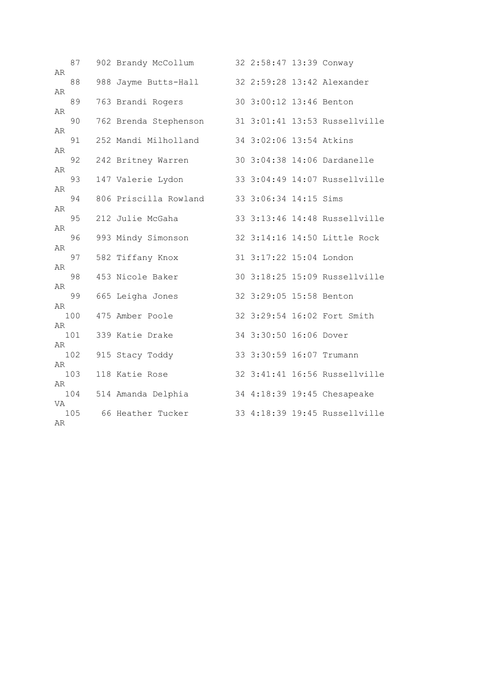| AR       | 87  | 902 Brandy McCollum   | 32 2:58:47 13:39 Conway  |                               |
|----------|-----|-----------------------|--------------------------|-------------------------------|
|          | 88  | 988 Jayme Butts-Hall  |                          | 32 2:59:28 13:42 Alexander    |
| AR       | 89  | 763 Brandi Rogers     | 30 3:00:12 13:46 Benton  |                               |
| AR       | 90  | 762 Brenda Stephenson |                          | 31 3:01:41 13:53 Russellville |
| AR       | 91  | 252 Mandi Milholland  | 34 3:02:06 13:54 Atkins  |                               |
| AR       | 92  | 242 Britney Warren    |                          | 30 3:04:38 14:06 Dardanelle   |
| AR       | 93  | 147 Valerie Lydon     |                          | 33 3:04:49 14:07 Russellville |
| AR       | 94  | 806 Priscilla Rowland | 33 3:06:34 14:15 Sims    |                               |
| AR       | 95  | 212 Julie McGaha      |                          | 33 3:13:46 14:48 Russellville |
| AR       | 96  | 993 Mindy Simonson    |                          | 32 3:14:16 14:50 Little Rock  |
| AR       | 97  | 582 Tiffany Knox      | 31 3:17:22 15:04 London  |                               |
| AR       | 98  | 453 Nicole Baker      |                          | 30 3:18:25 15:09 Russellville |
| AR       | 99  | 665 Leigha Jones      | 32 3:29:05 15:58 Benton  |                               |
| AR       | 100 | 475 Amber Poole       |                          | 32 3:29:54 16:02 Fort Smith   |
| AR       | 101 | 339 Katie Drake       | 34 3:30:50 16:06 Dover   |                               |
| AR       | 102 | 915 Stacy Toddy       | 33 3:30:59 16:07 Trumann |                               |
| AR       | 103 | 118 Katie Rose        |                          | 32 3:41:41 16:56 Russellville |
| AR       | 104 | 514 Amanda Delphia    |                          | 34 4:18:39 19:45 Chesapeake   |
| VA<br>AR | 105 | 66 Heather Tucker     |                          | 33 4:18:39 19:45 Russellville |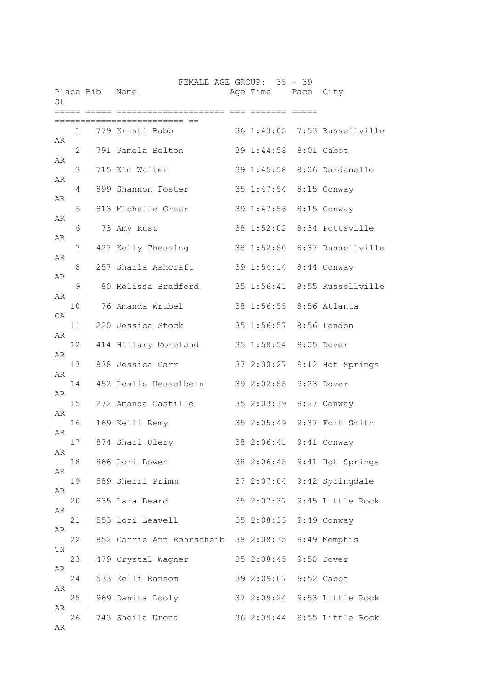| St       |    | Place Bib | Name                                              | FEMALE AGE GROUP: 35 - 39 | Age Time Pace City    |             |                              |
|----------|----|-----------|---------------------------------------------------|---------------------------|-----------------------|-------------|------------------------------|
|          |    |           |                                                   |                           |                       | ===== ===== |                              |
|          | 1  |           | 779 Kristi Babb                                   |                           |                       |             | 36 1:43:05 7:53 Russellville |
| AR       | 2  |           | 791 Pamela Belton                                 |                           | 39 1:44:58 8:01 Cabot |             |                              |
| AR       | 3  |           | 715 Kim Walter                                    |                           | 39 1:45:58            |             | 8:06 Dardanelle              |
| AR       | 4  |           | 899 Shannon Foster                                |                           |                       |             | 35 1:47:54 8:15 Conway       |
| AR       | 5  |           | 813 Michelle Greer                                |                           |                       |             | 39 1:47:56 8:15 Conway       |
| AR       | 6  |           | 73 Amy Rust                                       |                           |                       |             | 38 1:52:02 8:34 Pottsville   |
| AR       | 7  |           | 427 Kelly Thessing                                |                           |                       |             | 38 1:52:50 8:37 Russellville |
| AR       | 8  |           | 257 Sharla Ashcraft                               |                           |                       |             | 39 1:54:14 8:44 Conway       |
| AR       | 9  |           | 80 Melissa Bradford                               |                           |                       |             | 35 1:56:41 8:55 Russellville |
| AR       | 10 |           | 76 Amanda Wrubel                                  |                           |                       |             | 38 1:56:55 8:56 Atlanta      |
| GA       | 11 |           | 220 Jessica Stock                                 |                           |                       |             | 35 1:56:57 8:56 London       |
| AR       | 12 |           | 414 Hillary Moreland                              |                           | 35 1:58:54            |             | 9:05 Dover                   |
| AR       | 13 |           | 838 Jessica Carr                                  |                           |                       |             | 37 2:00:27 9:12 Hot Springs  |
| AR       | 14 |           | 452 Leslie Hesselbein                             |                           | 39 2:02:55            |             | 9:23 Dover                   |
| AR       | 15 |           | 272 Amanda Castillo                               |                           |                       |             | 35 2:03:39 9:27 Conway       |
| AR       | 16 |           | 169 Kelli Remy                                    |                           |                       |             | 35 2:05:49 9:37 Fort Smith   |
| AR       | 17 |           | 874 Shari Ulery                                   |                           | 38 2:06:41            |             | 9:41 Conway                  |
| AR       | 18 |           | 866 Lori Bowen                                    |                           |                       |             | 38 2:06:45 9:41 Hot Springs  |
| AR       | 19 |           | 589 Sherri Primm                                  |                           |                       |             | 37 2:07:04 9:42 Springdale   |
| AR       | 20 |           | 835 Lara Beard                                    |                           |                       |             | 35 2:07:37 9:45 Little Rock  |
| AR       | 21 |           | 553 Lori Leavell                                  |                           |                       |             | 35 2:08:33 9:49 Conway       |
| AR       | 22 |           | 852 Carrie Ann Rohrscheib 38 2:08:35 9:49 Memphis |                           |                       |             |                              |
| ΤN       | 23 |           | 479 Crystal Wagner 35 2:08:45 9:50 Dover          |                           |                       |             |                              |
| AR       | 24 |           | 533 Kelli Ransom                                  |                           | 39 2:09:07 9:52 Cabot |             |                              |
| AR       | 25 |           | 969 Danita Dooly                                  |                           |                       |             | 37 2:09:24 9:53 Little Rock  |
| AR<br>AR | 26 |           | 743 Sheila Urena                                  |                           |                       |             | 36 2:09:44 9:55 Little Rock  |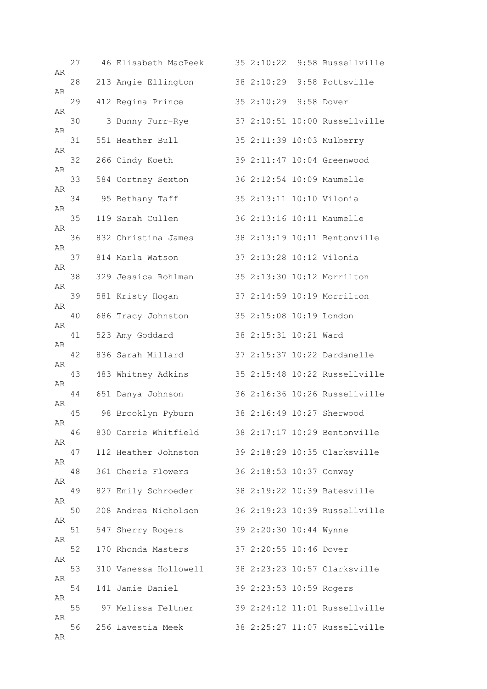| AR | 27 | 46 Elisabeth MacPeek  |                          | 35 2:10:22 9:58 Russellville  |
|----|----|-----------------------|--------------------------|-------------------------------|
|    | 28 | 213 Angie Ellington   |                          | 38 2:10:29 9:58 Pottsville    |
| AR | 29 | 412 Regina Prince     | 35 2:10:29 9:58 Dover    |                               |
| AR | 30 | 3 Bunny Furr-Rye      |                          | 37 2:10:51 10:00 Russellville |
| AR | 31 | 551 Heather Bull      |                          | 35 2:11:39 10:03 Mulberry     |
| AR | 32 | 266 Cindy Koeth       |                          | 39 2:11:47 10:04 Greenwood    |
| AR | 33 | 584 Cortney Sexton    |                          | 36 2:12:54 10:09 Maumelle     |
| AR | 34 | 95 Bethany Taff       | 35 2:13:11 10:10 Vilonia |                               |
| AR | 35 | 119 Sarah Cullen      |                          | 36 2:13:16 10:11 Maumelle     |
| AR | 36 | 832 Christina James   |                          | 38 2:13:19 10:11 Bentonville  |
| AR | 37 | 814 Marla Watson      | 37 2:13:28 10:12 Vilonia |                               |
| AR | 38 | 329 Jessica Rohlman   |                          | 35 2:13:30 10:12 Morrilton    |
| AR | 39 | 581 Kristy Hogan      |                          | 37 2:14:59 10:19 Morrilton    |
| AR | 40 | 686 Tracy Johnston    | 35 2:15:08 10:19 London  |                               |
| AR | 41 | 523 Amy Goddard       | 38 2:15:31 10:21 Ward    |                               |
| AR | 42 | 836 Sarah Millard     |                          | 37 2:15:37 10:22 Dardanelle   |
| AR | 43 | 483 Whitney Adkins    |                          | 35 2:15:48 10:22 Russellville |
| AR | 44 | 651 Danya Johnson     |                          | 36 2:16:36 10:26 Russellville |
| AR | 45 | 98 Brooklyn Pyburn    |                          | 38 2:16:49 10:27 Sherwood     |
| AR | 46 | 830 Carrie Whitfield  |                          | 38 2:17:17 10:29 Bentonville  |
| AR | 47 | 112 Heather Johnston  |                          | 39 2:18:29 10:35 Clarksville  |
| AR | 48 | 361 Cherie Flowers    | 36 2:18:53 10:37 Conway  |                               |
| AR | 49 | 827 Emily Schroeder   |                          | 38 2:19:22 10:39 Batesville   |
| AR | 50 | 208 Andrea Nicholson  |                          | 36 2:19:23 10:39 Russellville |
| AR | 51 | 547 Sherry Rogers     | 39 2:20:30 10:44 Wynne   |                               |
| AR | 52 | 170 Rhonda Masters    | 37 2:20:55 10:46 Dover   |                               |
| AR | 53 | 310 Vanessa Hollowell |                          | 38 2:23:23 10:57 Clarksville  |
| AR | 54 | 141 Jamie Daniel      | 39 2:23:53 10:59 Rogers  |                               |
| AR | 55 | 97 Melissa Feltner    |                          | 39 2:24:12 11:01 Russellville |
| AR | 56 | 256 Lavestia Meek     |                          | 38 2:25:27 11:07 Russellville |
| AR |    |                       |                          |                               |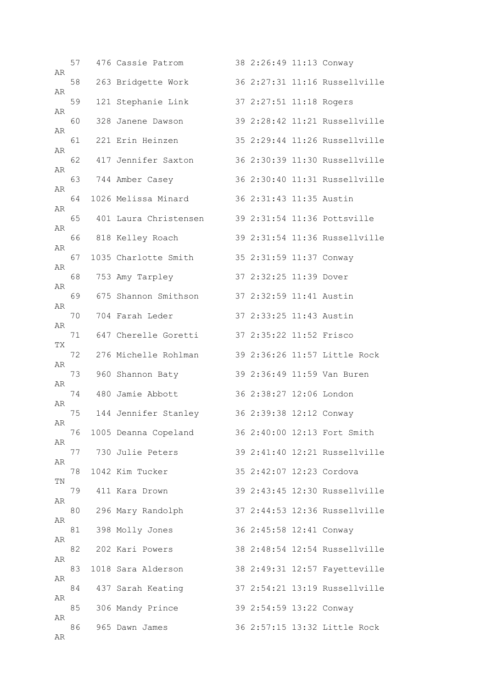| AR | 57 | 476 Cassie Patrom     | 38 2:26:49 11:13 Conway  |                               |
|----|----|-----------------------|--------------------------|-------------------------------|
|    | 58 | 263 Bridgette Work    |                          | 36 2:27:31 11:16 Russellville |
| AR | 59 | 121 Stephanie Link    | 37 2:27:51 11:18 Rogers  |                               |
| AR | 60 | 328 Janene Dawson     |                          | 39 2:28:42 11:21 Russellville |
| AR | 61 | 221 Erin Heinzen      |                          | 35 2:29:44 11:26 Russellville |
| AR | 62 | 417 Jennifer Saxton   |                          | 36 2:30:39 11:30 Russellville |
| AR | 63 | 744 Amber Casey       |                          | 36 2:30:40 11:31 Russellville |
| AR | 64 | 1026 Melissa Minard   | 36 2:31:43 11:35 Austin  |                               |
| AR | 65 | 401 Laura Christensen |                          | 39 2:31:54 11:36 Pottsville   |
| AR | 66 | 818 Kelley Roach      |                          | 39 2:31:54 11:36 Russellville |
| AR | 67 | 1035 Charlotte Smith  | 35 2:31:59 11:37 Conway  |                               |
| AR | 68 | 753 Amy Tarpley       | 37 2:32:25 11:39 Dover   |                               |
| AR | 69 | 675 Shannon Smithson  | 37 2:32:59 11:41 Austin  |                               |
| AR | 70 | 704 Farah Leder       | 37 2:33:25 11:43 Austin  |                               |
| AR | 71 | 647 Cherelle Goretti  | 37 2:35:22 11:52 Frisco  |                               |
| TХ | 72 | 276 Michelle Rohlman  |                          | 39 2:36:26 11:57 Little Rock  |
| AR | 73 | 960 Shannon Baty      |                          | 39 2:36:49 11:59 Van Buren    |
| AR | 74 | 480 Jamie Abbott      | 36 2:38:27 12:06 London  |                               |
| AR | 75 | 144 Jennifer Stanley  | 36 2:39:38 12:12 Conway  |                               |
| AR | 76 | 1005 Deanna Copeland  |                          | 36 2:40:00 12:13 Fort Smith   |
| AR | 77 | 730 Julie Peters      |                          | 39 2:41:40 12:21 Russellville |
| AR | 78 | 1042 Kim Tucker       | 35 2:42:07 12:23 Cordova |                               |
| ΤN | 79 | 411 Kara Drown        |                          | 39 2:43:45 12:30 Russellville |
| AR | 80 | 296 Mary Randolph     |                          | 37 2:44:53 12:36 Russellville |
| AR | 81 | 398 Molly Jones       | 36 2:45:58 12:41 Conway  |                               |
| AR | 82 | 202 Kari Powers       |                          | 38 2:48:54 12:54 Russellville |
| AR | 83 | 1018 Sara Alderson    |                          | 38 2:49:31 12:57 Fayetteville |
| AR | 84 | 437 Sarah Keating     |                          | 37 2:54:21 13:19 Russellville |
| AR | 85 | 306 Mandy Prince      | 39 2:54:59 13:22 Conway  |                               |
| AR | 86 | 965 Dawn James        |                          | 36 2:57:15 13:32 Little Rock  |
| AR |    |                       |                          |                               |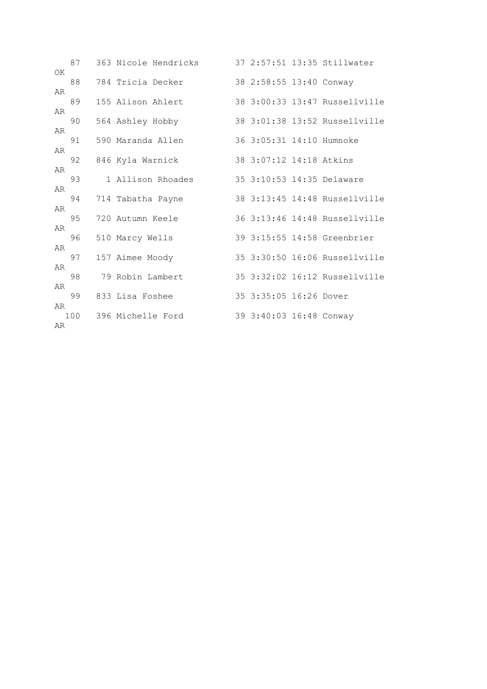| OK       | 87 | 363 Nicole Hendricks  |                          | 37 2:57:51 13:35 Stillwater   |
|----------|----|-----------------------|--------------------------|-------------------------------|
|          | 88 | 784 Tricia Decker     | 38 2:58:55 13:40 Conway  |                               |
| AR       | 89 | 155 Alison Ahlert     |                          | 38 3:00:33 13:47 Russellyille |
| AR       | 90 | 564 Ashley Hobby      |                          | 38 3:01:38 13:52 Russellville |
| AR       |    |                       |                          |                               |
| AR       | 91 | 590 Maranda Allen     | 36 3:05:31 14:10 Humnoke |                               |
| AR       | 92 | 846 Kyla Warnick      | 38 3:07:12 14:18 Atkins  |                               |
|          | 93 | 1 Allison Rhoades     |                          | 35 3:10:53 14:35 Delaware     |
| AR       | 94 | 714 Tabatha Payne     |                          | 38 3:13:45 14:48 Russellville |
| AR<br>AR | 95 | 720 Autumn Keele      |                          | 36 3:13:46 14:48 Russellville |
|          | 96 | 510 Marcy Wells       |                          | 39 3:15:55 14:58 Greenbrier   |
| AR       | 97 | 157 Aimee Moody       |                          | 35 3:30:50 16:06 Russellville |
| AR       | 98 | 79 Robin Lambert      |                          | 35 3:32:02 16:12 Russellville |
| AR       | 99 | 833 Lisa Foshee       | 35 3:35:05 16:26 Dover   |                               |
| AR<br>AR |    | 100 396 Michelle Ford | 39 3:40:03 16:48 Conway  |                               |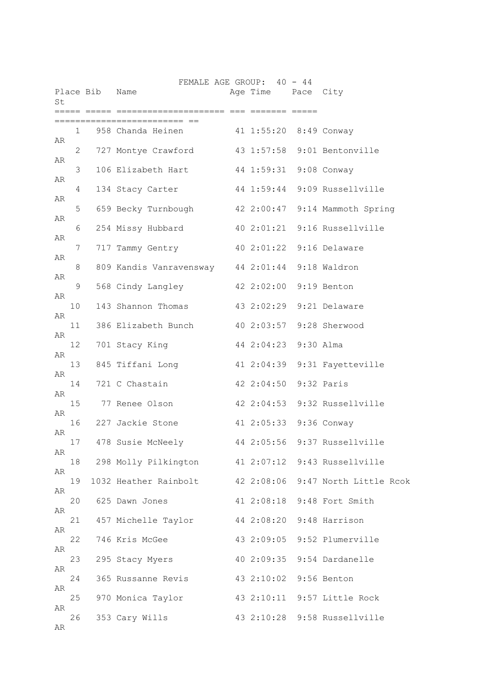| St       |                 | Place Bib Name | FEMALE AGE GROUP: 40 - 44                               |  | Age Time Pace City    |                              |
|----------|-----------------|----------------|---------------------------------------------------------|--|-----------------------|------------------------------|
|          |                 |                | =============                                           |  |                       |                              |
| AR       |                 |                | 1 958 Chanda Heinen 41 1:55:20 8:49 Conway              |  |                       |                              |
|          | 2               |                | 727 Montye Crawford 43 1:57:58 9:01 Bentonville         |  |                       |                              |
| AR<br>AR | 3               |                | 106 Elizabeth Hart 44 1:59:31 9:08 Conway               |  |                       |                              |
|          | 4               |                | 134 Stacy Carter 44 1:59:44 9:09 Russellville           |  |                       |                              |
| AR       | 5               |                | 659 Becky Turnbough 42 2:00:47 9:14 Mammoth Spring      |  |                       |                              |
| AR       | 6               |                | 254 Missy Hubbard 40 2:01:21 9:16 Russellville          |  |                       |                              |
| AR       |                 |                |                                                         |  |                       |                              |
| AR       | 7               |                | 717 Tammy Gentry 40 2:01:22 9:16 Delaware               |  |                       |                              |
|          | 8               |                | 809 Kandis Vanravensway 44 2:01:44 9:18 Waldron         |  |                       |                              |
| AR       | 9               |                | 568 Cindy Langley 42 2:02:00 9:19 Benton                |  |                       |                              |
| AR       | 10              |                | 143 Shannon Thomas                                      |  |                       | 43 2:02:29 9:21 Delaware     |
| AR       |                 |                |                                                         |  |                       |                              |
| AR       | 11              |                | 386 Elizabeth Bunch                                     |  |                       | 40 2:03:57 9:28 Sherwood     |
|          | 12 <sup>°</sup> |                | 701 Stacy King                                          |  | 44 2:04:23 9:30 Alma  |                              |
| AR       | 13              |                | 845 Tiffani Long (2:04:39 9:31 Fayetteville             |  |                       |                              |
| AR       | 14              |                | 721 C Chastain                                          |  | 42 2:04:50 9:32 Paris |                              |
| AR       | 15              |                | 77 Renee Olson                                          |  |                       | 42 2:04:53 9:32 Russellville |
| AR       | 16              |                | 227 Jackie Stone                                        |  |                       | 41 2:05:33 9:36 Conway       |
| AR       |                 |                |                                                         |  |                       | 44 2:05:56 9:37 Russellville |
| AR       | 17              |                | 478 Susie McNeely                                       |  |                       |                              |
| AR       | 18              |                | 298 Molly Pilkington 41 2:07:12 9:43 Russellville       |  |                       |                              |
|          | 19              |                | 1032 Heather Rainbolt 42 2:08:06 9:47 North Little Rcok |  |                       |                              |
| AR       | 20              |                | 625 Dawn Jones                                          |  |                       | 41 2:08:18 9:48 Fort Smith   |
| AR       | 21              |                | 457 Michelle Taylor 44 2:08:20 9:48 Harrison            |  |                       |                              |
| AR       |                 |                |                                                         |  |                       |                              |
| AR       | 22              |                | 746 Kris McGee                                          |  |                       | 43 2:09:05 9:52 Plumerville  |
|          | 23              |                | 295 Stacy Myers                                         |  |                       | 40 2:09:35 9:54 Dardanelle   |
| AR       | 24              |                | 365 Russanne Revis 43 2:10:02 9:56 Benton               |  |                       |                              |
| AR       | 25              |                | 970 Monica Taylor                                       |  |                       | 43 2:10:11 9:57 Little Rock  |
| AR       |                 |                |                                                         |  |                       |                              |
| AR       | 26              |                | 353 Cary Wills                                          |  |                       | 43 2:10:28 9:58 Russellville |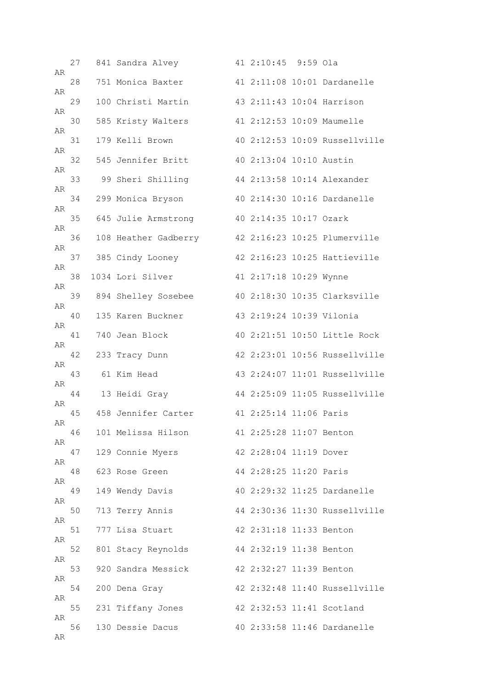| AR | 27 | 841 Sandra Alvey     | 41 2:10:45 9:59 Ola      |                               |
|----|----|----------------------|--------------------------|-------------------------------|
|    | 28 | 751 Monica Baxter    |                          | 41 2:11:08 10:01 Dardanelle   |
| AR | 29 | 100 Christi Martin   |                          | 43 2:11:43 10:04 Harrison     |
| AR | 30 | 585 Kristy Walters   |                          | 41 2:12:53 10:09 Maumelle     |
| AR | 31 | 179 Kelli Brown      |                          | 40 2:12:53 10:09 Russellville |
| AR | 32 | 545 Jennifer Britt   | 40 2:13:04 10:10 Austin  |                               |
| AR | 33 | 99 Sheri Shilling    |                          | 44 2:13:58 10:14 Alexander    |
| AR | 34 | 299 Monica Bryson    |                          | 40 2:14:30 10:16 Dardanelle   |
| AR | 35 | 645 Julie Armstrong  | 40 2:14:35 10:17 Ozark   |                               |
| AR | 36 | 108 Heather Gadberry |                          | 42 2:16:23 10:25 Plumerville  |
| AR | 37 | 385 Cindy Looney     |                          | 42 2:16:23 10:25 Hattieville  |
| AR | 38 | 1034 Lori Silver     | 41 2:17:18 10:29 Wynne   |                               |
| AR | 39 | 894 Shelley Sosebee  |                          | 40 2:18:30 10:35 Clarksville  |
| AR | 40 | 135 Karen Buckner    | 43 2:19:24 10:39 Vilonia |                               |
| AR | 41 | 740 Jean Block       |                          | 40 2:21:51 10:50 Little Rock  |
| AR | 42 | 233 Tracy Dunn       |                          | 42 2:23:01 10:56 Russellville |
| AR | 43 | 61 Kim Head          |                          | 43 2:24:07 11:01 Russellville |
| AR | 44 | 13 Heidi Gray        |                          | 44 2:25:09 11:05 Russellville |
| AR | 45 | 458 Jennifer Carter  | 41 2:25:14 11:06 Paris   |                               |
| AR | 46 | 101 Melissa Hilson   | 41 2:25:28 11:07 Benton  |                               |
| AR | 47 | 129 Connie Myers     | 42 2:28:04 11:19 Dover   |                               |
| AR | 48 | 623 Rose Green       | 44 2:28:25 11:20 Paris   |                               |
| AR | 49 | 149 Wendy Davis      |                          | 40 2:29:32 11:25 Dardanelle   |
| AR | 50 | 713 Terry Annis      |                          | 44 2:30:36 11:30 Russellville |
| AR | 51 | 777 Lisa Stuart      | 42 2:31:18 11:33 Benton  |                               |
| AR | 52 | 801 Stacy Reynolds   | 44 2:32:19 11:38 Benton  |                               |
| AR | 53 | 920 Sandra Messick   | 42 2:32:27 11:39 Benton  |                               |
| AR | 54 | 200 Dena Gray        |                          | 42 2:32:48 11:40 Russellville |
| AR | 55 | 231 Tiffany Jones    |                          | 42 2:32:53 11:41 Scotland     |
| AR | 56 | 130 Dessie Dacus     |                          | 40 2:33:58 11:46 Dardanelle   |
| AR |    |                      |                          |                               |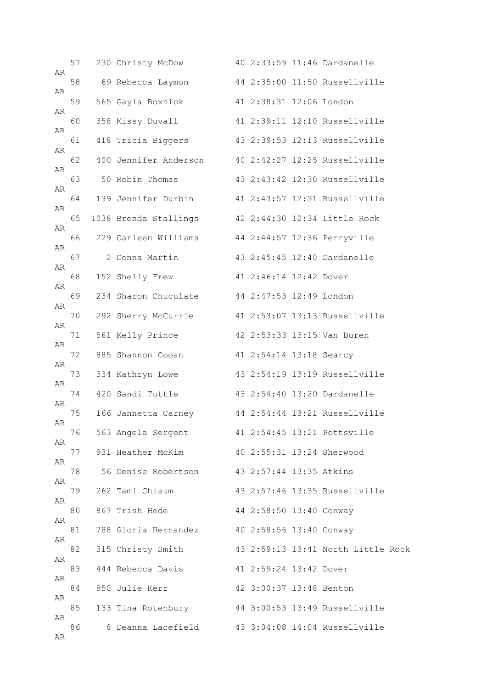| AR | 57 | 230 Christy McDow                                   |                         | 40 2:33:59 11:46 Dardanelle        |
|----|----|-----------------------------------------------------|-------------------------|------------------------------------|
|    | 58 | 69 Rebecca Laymon                                   |                         | 44 2:35:00 11:50 Russellville      |
| AR | 59 | 565 Gayla Boxnick                                   | 41 2:38:31 12:06 London |                                    |
| AR | 60 | 358 Missy Duvall                                    |                         | 41 2:39:11 12:10 Russellville      |
| AR | 61 | 418 Tricia Biggers                                  |                         | 43 2:39:53 12:13 Russellville      |
| AR | 62 | 400 Jennifer Anderson 40 2:42:27 12:25 Russellville |                         |                                    |
| AR | 63 | 50 Robin Thomas                                     |                         | 43 2:43:42 12:30 Russellville      |
| AR | 64 | 139 Jennifer Durbin                                 |                         | 41 2:43:57 12:31 Russellville      |
| AR | 65 | 1038 Brenda Stallings                               |                         | 42 2:44:30 12:34 Little Rock       |
| AR | 66 | 229 Carleen Williams 44 2:44:57 12:36 Perryville    |                         |                                    |
| AR | 67 | 2 Donna Martin                                      |                         | 43 2:45:45 12:40 Dardanelle        |
| AR | 68 | 152 Shelly Frew                                     | 41 2:46:14 12:42 Dover  |                                    |
| AR | 69 | 234 Sharon Chuculate                                | 44 2:47:53 12:49 London |                                    |
| AR | 70 | 292 Sherry McCurrie                                 |                         | 41 2:53:07 13:13 Russellville      |
| AR | 71 | 561 Kelly Prince                                    |                         | 42 2:53:33 13:15 Van Buren         |
| AR | 72 | 885 Shannon Cooan                                   | 41 2:54:14 13:18 Searcy |                                    |
| AR | 73 | 334 Kathryn Lowe                                    |                         | 43 2:54:19 13:19 Russellville      |
| AR | 74 | 420 Sandi Tuttle                                    |                         | 43 2:54:40 13:20 Dardanelle        |
| AR | 75 | 166 Jannetta Carney 44 2:54:44 13:21 Russellville   |                         |                                    |
| AR | 76 | 563 Angela Sergent 41 2:54:45 13:21 Pottsville      |                         |                                    |
| AR | 77 | 931 Heather McKim                                   |                         | 40 2:55:31 13:24 Sherwood          |
| AR | 78 | 56 Denise Robertson                                 | 43 2:57:44 13:35 Atkins |                                    |
| AR | 79 | 262 Tami Chisum                                     |                         | 43 2:57:46 13:35 Russellville      |
| AR | 80 | 867 Trish Hede                                      | 44 2:58:50 13:40 Conway |                                    |
| AR | 81 | 788 Gloria Hernandez 40 2:58:56 13:40 Conway        |                         |                                    |
| AR | 82 | 315 Christy Smith                                   |                         | 43 2:59:13 13:41 North Little Rock |
| AR | 83 | 444 Rebecca Davis                                   | 41 2:59:24 13:42 Dover  |                                    |
| AR | 84 | 850 Julie Kerr                                      | 42 3:00:37 13:48 Benton |                                    |
| AR | 85 | 133 Tina Rotenbury 44 3:00:53 13:49 Russellville    |                         |                                    |
| AR | 86 | 8 Deanna Lacefield 43 3:04:08 14:04 Russellville    |                         |                                    |
| AR |    |                                                     |                         |                                    |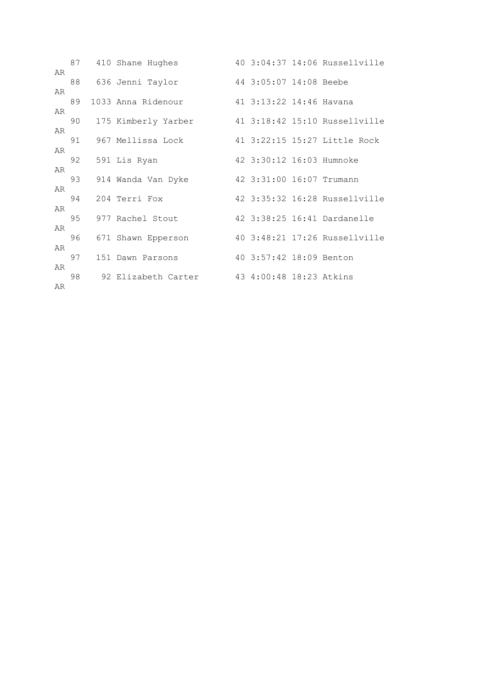|    |    | 87 410 Shane Hughes  |                          | 40 3:04:37 14:06 Russellville |
|----|----|----------------------|--------------------------|-------------------------------|
| AR |    | 88 636 Jenni Taylor  | 44 3:05:07 14:08 Beebe   |                               |
| AR |    |                      |                          |                               |
|    | 89 | 1033 Anna Ridenour   | 41 3:13:22 14:46 Havana  |                               |
| AR |    |                      |                          |                               |
| AR | 90 | 175 Kimberly Yarber  |                          | 41 3:18:42 15:10 Russellville |
|    |    | 91 967 Mellissa Lock |                          | 41 3:22:15 15:27 Little Rock  |
| AR |    |                      |                          |                               |
| AR | 92 | 591 Lis Ryan         | 42 3:30:12 16:03 Humnoke |                               |
|    | 93 | 914 Wanda Van Dyke   | 42 3:31:00 16:07 Trumann |                               |
| AR |    |                      |                          |                               |
| AR | 94 | 204 Terri Fox        |                          | 42 3:35:32 16:28 Russellville |
|    | 95 | 977 Rachel Stout     |                          | 42 3:38:25 16:41 Dardanelle   |
| AR |    |                      |                          |                               |
| AR | 96 | 671 Shawn Epperson   |                          | 40 3:48:21 17:26 Russellville |
|    | 97 | 151 Dawn Parsons     | 40 3:57:42 18:09 Benton  |                               |
| AR |    |                      |                          |                               |
|    | 98 | 92 Elizabeth Carter  | 43 4:00:48 18:23 Atkins  |                               |
| AR |    |                      |                          |                               |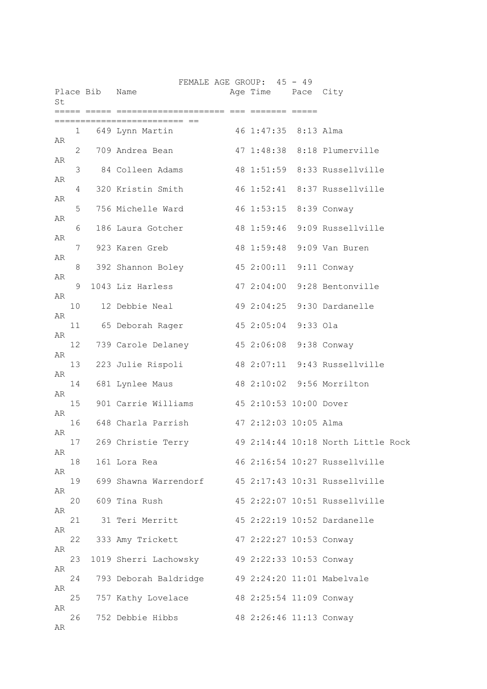| St |              | Place Bib Name |                                                  |           | FEMALE AGE GROUP: 45 - 49<br>Age Time Pace City |                                    |
|----|--------------|----------------|--------------------------------------------------|-----------|-------------------------------------------------|------------------------------------|
|    |              |                | :==== ==                                         | ===== === |                                                 |                                    |
| AR | $\mathbf{1}$ |                | 649 Lynn Martin 16 1:47:35 8:13 Alma             |           |                                                 |                                    |
|    | 2            |                | 709 Andrea Bean                                  |           |                                                 | 47 1:48:38 8:18 Plumerville        |
| AR | 3            |                | 84 Colleen Adams                                 |           |                                                 | 48 1:51:59 8:33 Russellville       |
| AR | 4            |                | 320 Kristin Smith                                |           |                                                 | 46 1:52:41 8:37 Russellville       |
| AR | 5            |                | 756 Michelle Ward                                |           |                                                 | 46 1:53:15 8:39 Conway             |
| AR | 6            |                | 186 Laura Gotcher                                |           |                                                 | 48 1:59:46 9:09 Russellville       |
| AR | 7            |                | 923 Karen Greb                                   |           |                                                 | 48 1:59:48 9:09 Van Buren          |
| AR | 8            |                | 392 Shannon Boley                                |           |                                                 | 45 2:00:11 9:11 Conway             |
| AR | 9            |                | 1043 Liz Harless                                 |           |                                                 | 47 2:04:00 9:28 Bentonville        |
| AR | 10           |                | 12 Debbie Neal                                   |           |                                                 | 49 2:04:25 9:30 Dardanelle         |
| AR | 11           |                | 65 Deborah Rager                                 |           | 45 2:05:04 9:33 Ola                             |                                    |
| AR | 12           |                | 739 Carole Delaney 45 2:06:08 9:38 Conway        |           |                                                 |                                    |
| AR | 13           |                | 223 Julie Rispoli                                |           |                                                 | 48 2:07:11 9:43 Russellville       |
| AR | 14           |                | 681 Lynlee Maus                                  |           |                                                 | 48 2:10:02 9:56 Morrilton          |
| AR | 15           |                | 901 Carrie Williams 45 2:10:53 10:00 Dover       |           |                                                 |                                    |
| AR | 16           |                | 648 Charla Parrish   47 2:12:03 10:05 Alma       |           |                                                 |                                    |
| AR | 17           |                | 269 Christie Terry                               |           |                                                 | 49 2:14:44 10:18 North Little Rock |
| AR | 18           |                | 161 Lora Rea                                     |           |                                                 | 46 2:16:54 10:27 Russellville      |
| AR | 19           |                | 699 Shawna Warrendorf                            |           |                                                 | 45 2:17:43 10:31 Russellville      |
| AR | 20           |                | 609 Tina Rush                                    |           |                                                 | 45 2:22:07 10:51 Russellville      |
| AR | 21           |                | 31 Teri Merritt                                  |           |                                                 | 45 2:22:19 10:52 Dardanelle        |
| AR | 22           |                | 333 Amy Trickett                                 |           | 47 2:22:27 10:53 Conway                         |                                    |
| AR | 23           |                | 1019 Sherri Lachowsky 49 2:22:33 10:53 Conway    |           |                                                 |                                    |
| AR | 24           |                | 793 Deborah Baldridge 49 2:24:20 11:01 Mabelvale |           |                                                 |                                    |
| AR | 25           |                | 757 Kathy Lovelace                               |           | 48 2:25:54 11:09 Conway                         |                                    |
| AR | 26           |                |                                                  |           |                                                 |                                    |
| AR |              |                | 752 Debbie Hibbs                                 |           | 48 2:26:46 11:13 Conway                         |                                    |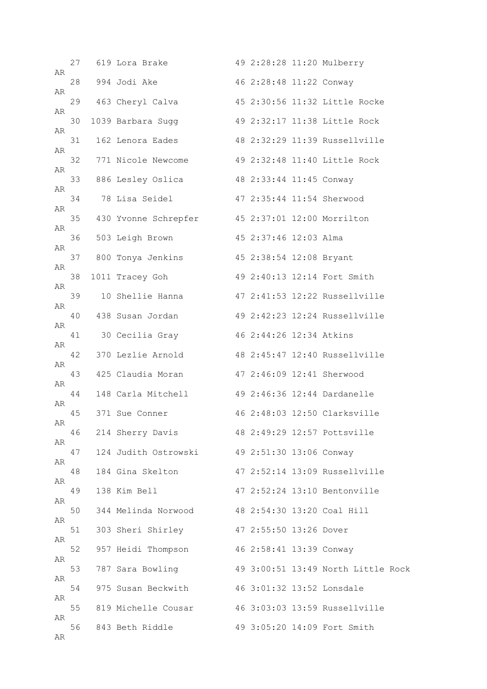|          | 27 | 619 Lora Brake                                           |                         | 49 2:28:28 11:20 Mulberry          |
|----------|----|----------------------------------------------------------|-------------------------|------------------------------------|
| AR       | 28 | 994 Jodi Ake                                             | 46 2:28:48 11:22 Conway |                                    |
| AR       | 29 | 463 Cheryl Calva                                         |                         | 45 2:30:56 11:32 Little Rocke      |
| AR       | 30 | 1039 Barbara Sugg                                        |                         | 49 2:32:17 11:38 Little Rock       |
| AR       | 31 | 162 Lenora Eades                                         |                         | 48 2:32:29 11:39 Russellville      |
| AR       | 32 | 771 Nicole Newcome                                       |                         | 49 2:32:48 11:40 Little Rock       |
| AR       | 33 | 886 Lesley Oslica 48 2:33:44 11:45 Conway                |                         |                                    |
| AR       | 34 | 78 Lisa Seidel                 47 2:35:44 11:54 Sherwood |                         |                                    |
| AR       | 35 | 430 Yvonne Schrepfer                                     |                         | 45 2:37:01 12:00 Morrilton         |
| AR       | 36 | 503 Leigh Brown                                          | 45 2:37:46 12:03 Alma   |                                    |
| AR       | 37 | 800 Tonya Jenkins                                        | 45 2:38:54 12:08 Bryant |                                    |
| AR       | 38 | 1011 Tracey Goh                                          |                         | 49 2:40:13 12:14 Fort Smith        |
| AR       | 39 | 10 Shellie Hanna                                         |                         | 47 2:41:53 12:22 Russellville      |
| AR       | 40 | 438 Susan Jordan                                         |                         | 49 2:42:23 12:24 Russellville      |
| AR       | 41 | 30 Cecilia Gray                                          | 46 2:44:26 12:34 Atkins |                                    |
| AR       | 42 | 370 Lezlie Arnold                                        |                         | 48 2:45:47 12:40 Russellville      |
| AR       | 43 | 425 Claudia Moran                                        |                         | 47 2:46:09 12:41 Sherwood          |
| AR       | 44 | 148 Carla Mitchell                                       |                         | 49 2:46:36 12:44 Dardanelle        |
| AR       | 45 | 371 Sue Conner                                           |                         | 46 2:48:03 12:50 Clarksville       |
| AR       | 46 | 214 Sherry Davis                                         |                         | 48 2:49:29 12:57 Pottsville        |
| AR       | 47 | 124 Judith Ostrowski 49 2:51:30 13:06 Conway             |                         |                                    |
| AR       | 48 | 184 Gina Skelton                                         |                         | 47 2:52:14 13:09 Russellville      |
| AR<br>AR | 49 | 138 Kim Bell                                             |                         | 47 2:52:24 13:10 Bentonville       |
|          | 50 | 344 Melinda Norwood 48 2:54:30 13:20 Coal Hill           |                         |                                    |
| AR<br>AR | 51 | 303 Sheri Shirley                                        | 47 2:55:50 13:26 Dover  |                                    |
|          | 52 | 957 Heidi Thompson                                       | 46 2:58:41 13:39 Conway |                                    |
| AR       | 53 | 787 Sara Bowling                                         |                         | 49 3:00:51 13:49 North Little Rock |
| AR       | 54 | 975 Susan Beckwith 46 3:01:32 13:52 Lonsdale             |                         |                                    |
| AR<br>AR | 55 | 819 Michelle Cousar 46 3:03:03 13:59 Russellville        |                         |                                    |
| AR       | 56 | 843 Beth Riddle                                          |                         | 49 3:05:20 14:09 Fort Smith        |
|          |    |                                                          |                         |                                    |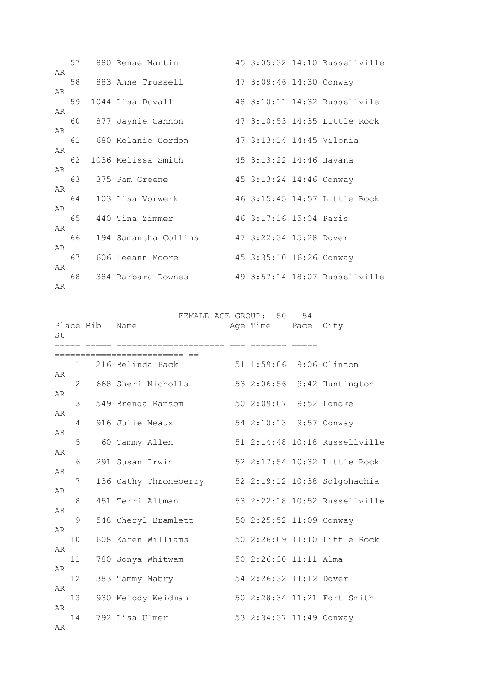|    |    | 57 880 Renae Martin   |                          | 45 3:05:32 14:10 Russellville |
|----|----|-----------------------|--------------------------|-------------------------------|
| AR |    | 58 883 Anne Trussell  | 47 3:09:46 14:30 Conway  |                               |
| AR |    |                       |                          |                               |
| AR | 59 | 1044 Lisa Duvall      |                          | 48 3:10:11 14:32 Russellvile  |
|    | 60 | 877 Jaynie Cannon     |                          | 47 3:10:53 14:35 Little Rock  |
| AR |    |                       |                          |                               |
| AR |    | 61 680 Melanie Gordon | 47 3:13:14 14:45 Vilonia |                               |
|    | 62 | 1036 Melissa Smith    | 45 3:13:22 14:46 Havana  |                               |
| AR |    | 63 375 Pam Greene     | 45 3:13:24 14:46 Conway  |                               |
| AR |    |                       |                          |                               |
|    | 64 | 103 Lisa Vorwerk      |                          | 46 3:15:45 14:57 Little Rock  |
| AR | 65 | 440 Tina Zimmer       | 46 3:17:16 15:04 Paris   |                               |
| AR |    |                       |                          |                               |
|    | 66 | 194 Samantha Collins  | 47 3:22:34 15:28 Dover   |                               |
| AR | 67 | 606 Leeann Moore      | 45 3:35:10 16:26 Conway  |                               |
| AR |    |                       |                          |                               |
|    | 68 | 384 Barbara Downes    |                          | 49 3:57:14 18:07 Russellville |
| AR |    |                       |                          |                               |

FEMALE AGE GROUP: 50 - 54

| St.      |                | Place Bib | Name<br>======= ===                                | Age Time Pace City<br>======= ===== |                               |
|----------|----------------|-----------|----------------------------------------------------|-------------------------------------|-------------------------------|
|          |                |           | =============================                      |                                     |                               |
| AR       | 1.             |           | 216 Belinda Pack                                   | 51 1:59:06 9:06 Clinton             |                               |
|          | $\overline{2}$ |           | 668 Sheri Nicholls                                 |                                     | 53 2:06:56 9:42 Huntington    |
| AR       | 3              |           | 549 Brenda Ransom                                  | 50 2:09:07 9:52 Lonoke              |                               |
| AR       | 4              |           | 916 Julie Meaux                                    | 54 2:10:13 9:57 Conway              |                               |
| AR       | 5              |           | 60 Tammy Allen                                     |                                     | 51 2:14:48 10:18 Russellville |
| AR       | 6              |           | 291 Susan Irwin                                    |                                     | 52 2:17:54 10:32 Little Rock  |
| AR       | 7              |           | 136 Cathy Throneberry 52 2:19:12 10:38 Solgohachia |                                     |                               |
| AR       | 8              |           | 451 Terri Altman                                   |                                     | 53 2:22:18 10:52 Russellville |
| AR       | 9              |           | 548 Cheryl Bramlett                                | 50 2:25:52 11:09 Conway             |                               |
| AR       | 10             |           | 608 Karen Williams                                 |                                     | 50 2:26:09 11:10 Little Rock  |
| AR       | 11             |           | 780 Sonya Whitwam                                  | 50 2:26:30 11:11 Alma               |                               |
| AR       | 12             |           | 383 Tammy Mabry                                    | 54 2:26:32 11:12 Dover              |                               |
| AR       | 13             |           | 930 Melody Weidman                                 |                                     | 50 2:28:34 11:21 Fort Smith   |
| AR<br>AR | 14             |           | 792 Lisa Ulmer                                     | 53 2:34:37 11:49 Conway             |                               |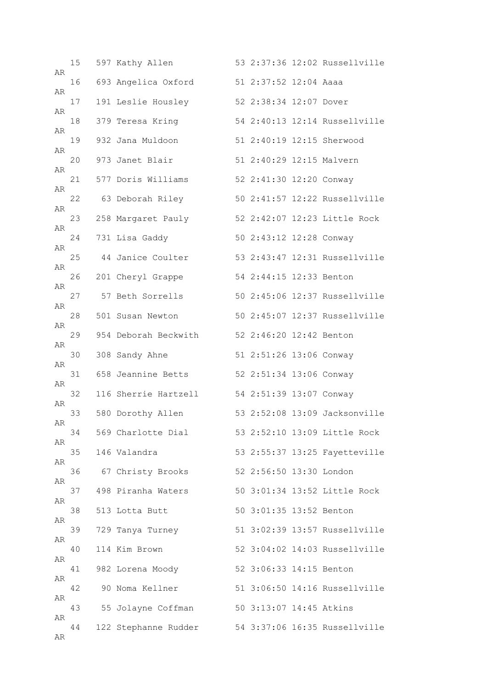| AR | 15 | 597 Kathy Allen      |                          | 53 2:37:36 12:02 Russellville |
|----|----|----------------------|--------------------------|-------------------------------|
| AR | 16 | 693 Angelica Oxford  | 51 2:37:52 12:04 Aaaa    |                               |
|    | 17 | 191 Leslie Housley   | 52 2:38:34 12:07 Dover   |                               |
| AR | 18 | 379 Teresa Kring     |                          | 54 2:40:13 12:14 Russellville |
| AR | 19 | 932 Jana Muldoon     |                          | 51 2:40:19 12:15 Sherwood     |
| AR | 20 | 973 Janet Blair      | 51 2:40:29 12:15 Malvern |                               |
| AR | 21 | 577 Doris Williams   | 52 2:41:30 12:20 Conway  |                               |
| AR | 22 | 63 Deborah Riley     |                          | 50 2:41:57 12:22 Russellville |
| AR | 23 | 258 Margaret Pauly   |                          | 52 2:42:07 12:23 Little Rock  |
| AR | 24 | 731 Lisa Gaddy       | 50 2:43:12 12:28 Conway  |                               |
| AR | 25 | 44 Janice Coulter    |                          | 53 2:43:47 12:31 Russellville |
| AR | 26 | 201 Cheryl Grappe    | 54 2:44:15 12:33 Benton  |                               |
| AR | 27 | 57 Beth Sorrells     |                          | 50 2:45:06 12:37 Russellville |
| AR | 28 | 501 Susan Newton     |                          | 50 2:45:07 12:37 Russellville |
| AR | 29 | 954 Deborah Beckwith | 52 2:46:20 12:42 Benton  |                               |
| AR | 30 | 308 Sandy Ahne       | 51 2:51:26 13:06 Conway  |                               |
| AR | 31 | 658 Jeannine Betts   | 52 2:51:34 13:06 Conway  |                               |
| AR | 32 | 116 Sherrie Hartzell | 54 2:51:39 13:07 Conway  |                               |
| AR | 33 | 580 Dorothy Allen    |                          | 53 2:52:08 13:09 Jacksonville |
| AR | 34 | 569 Charlotte Dial   |                          | 53 2:52:10 13:09 Little Rock  |
| AR | 35 | 146 Valandra         |                          | 53 2:55:37 13:25 Fayetteville |
| AR | 36 | 67 Christy Brooks    | 52 2:56:50 13:30 London  |                               |
| AR | 37 | 498 Piranha Waters   |                          | 50 3:01:34 13:52 Little Rock  |
| AR | 38 | 513 Lotta Butt       | 50 3:01:35 13:52 Benton  |                               |
| AR | 39 | 729 Tanya Turney     |                          | 51 3:02:39 13:57 Russellville |
| AR | 40 | 114 Kim Brown        |                          | 52 3:04:02 14:03 Russellville |
| AR | 41 | 982 Lorena Moody     | 52 3:06:33 14:15 Benton  |                               |
| AR | 42 | 90 Noma Kellner      |                          | 51 3:06:50 14:16 Russellville |
| AR | 43 | 55 Jolayne Coffman   | 50 3:13:07 14:45 Atkins  |                               |
| AR | 44 | 122 Stephanne Rudder |                          | 54 3:37:06 16:35 Russellville |
| AR |    |                      |                          |                               |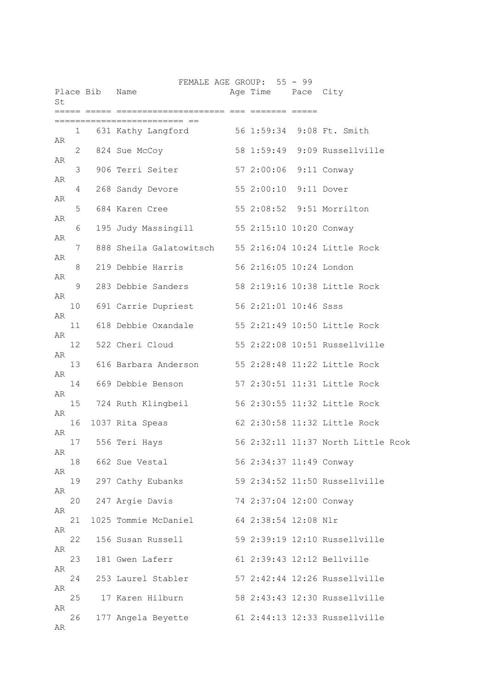| St |              | Place Bib Name |                                                      | FEMALE AGE GROUP: 55 - 99<br>Age Time Pace City |                                    |
|----|--------------|----------------|------------------------------------------------------|-------------------------------------------------|------------------------------------|
|    |              |                |                                                      | ===== === ======= ====                          |                                    |
|    | $\mathbf{1}$ |                | 631 Kathy Langford 56 1:59:34 9:08 Ft. Smith         |                                                 |                                    |
| AR | 2            |                | 824 Sue McCoy                                        |                                                 | 58 1:59:49 9:09 Russellville       |
| AR | 3            |                | 906 Terri Seiter                                     | 57 2:00:06 9:11 Conway                          |                                    |
| AR | 4            |                | 268 Sandy Devore                                     | 55 2:00:10 9:11 Dover                           |                                    |
| AR | 5            |                | 684 Karen Cree                                       |                                                 | 55 2:08:52 9:51 Morrilton          |
| AR | 6            |                | 195 Judy Massingill 55 2:15:10 10:20 Conway          |                                                 |                                    |
| AR | 7            |                | 888 Sheila Galatowitsch 55 2:16:04 10:24 Little Rock |                                                 |                                    |
| AR | 8            |                | 219 Debbie Harris                                    | 56 2:16:05 10:24 London                         |                                    |
| AR | 9            |                | 283 Debbie Sanders                                   |                                                 | 58 2:19:16 10:38 Little Rock       |
| AR | 10           |                | 691 Carrie Dupriest                                  | 56 2:21:01 10:46 Ssss                           |                                    |
| AR | 11           |                | 618 Debbie Oxandale 55 2:21:49 10:50 Little Rock     |                                                 |                                    |
| AR |              |                | 522 Cheri Cloud                                      |                                                 | 55 2:22:08 10:51 Russellville      |
| AR | 12           |                |                                                      |                                                 |                                    |
| AR | 13           |                | 616 Barbara Anderson 55 2:28:48 11:22 Little Rock    |                                                 |                                    |
| AR | 14           |                | 669 Debbie Benson                                    |                                                 | 57 2:30:51 11:31 Little Rock       |
| AR | 15           |                | 724 Ruth Klingbeil                                   |                                                 | 56 2:30:55 11:32 Little Rock       |
| AR | 16           |                | 1037 Rita Speas                                      |                                                 | 62 2:30:58 11:32 Little Rock       |
| AR | 17           |                | 556 Teri Hays                                        |                                                 | 56 2:32:11 11:37 North Little Rcok |
|    | 18           |                | 662 Sue Vestal                                       | 56 2:34:37 11:49 Conway                         |                                    |
| AR | 19           |                | 297 Cathy Eubanks                                    |                                                 | 59 2:34:52 11:50 Russellville      |
| AR | 20           |                | 247 Argie Davis                                      | 74 2:37:04 12:00 Conway                         |                                    |
| AR | 21           |                | 1025 Tommie McDaniel                                 | 64 2:38:54 12:08 Nlr                            |                                    |
| AR | 22           |                | 156 Susan Russell                                    |                                                 | 59 2:39:19 12:10 Russellville      |
| AR | 23           |                | 181 Gwen Laferr                                      |                                                 | 61 2:39:43 12:12 Bellville         |
| AR | 24           |                | 253 Laurel Stabler                                   |                                                 | 57 2:42:44 12:26 Russellville      |
| AR | 25           |                | 17 Karen Hilburn                                     |                                                 | 58 2:43:43 12:30 Russellville      |
| AR | 26           |                | 177 Angela Beyette                                   |                                                 | 61 2:44:13 12:33 Russellville      |
| AR |              |                |                                                      |                                                 |                                    |